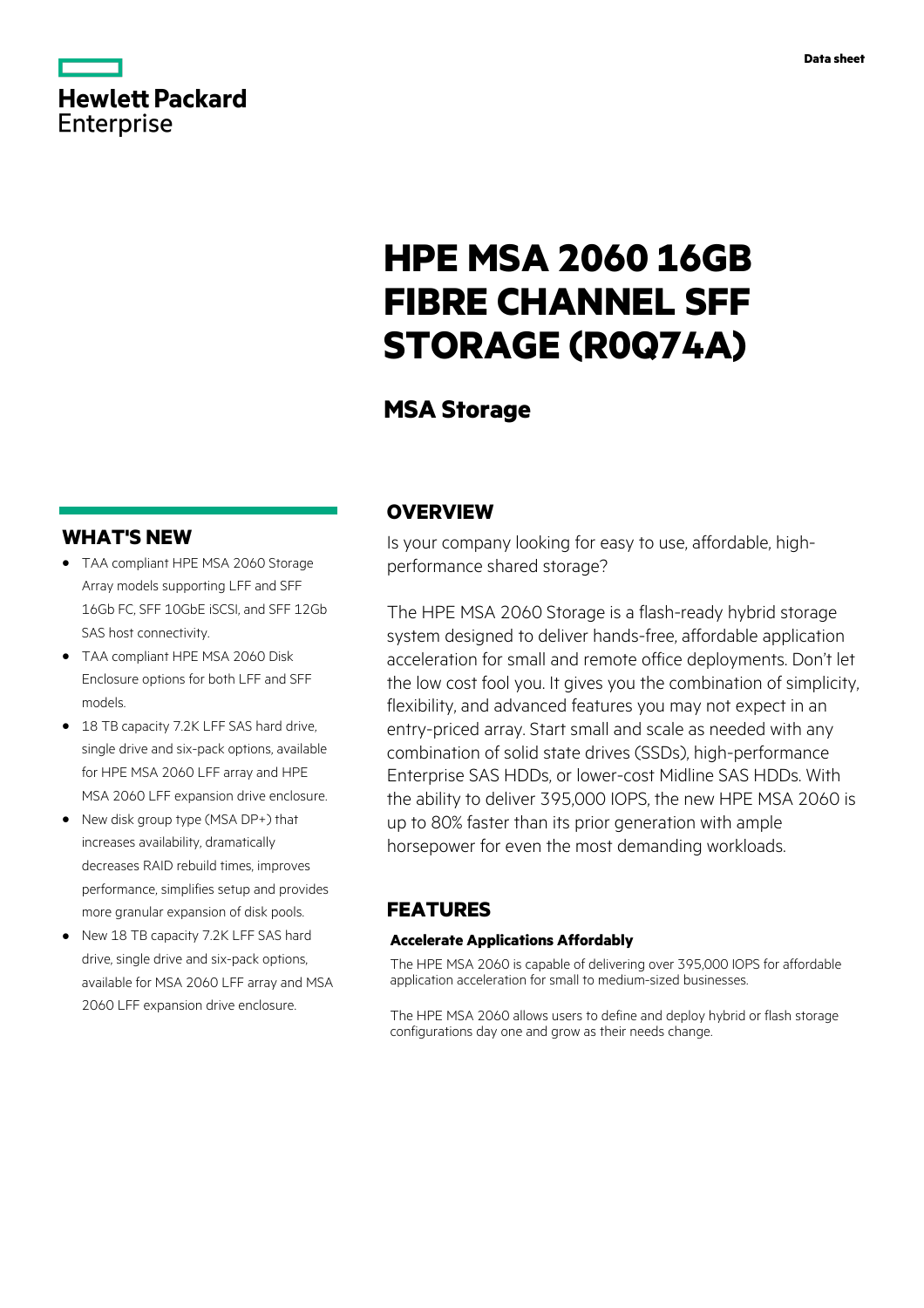## **Hewlett Packard** Enterprise

# **HPE MSA 2060 16GB FIBRE CHANNEL SFF STORAGE (R0Q74A)**

## **MSA Storage**

### **WHAT'S NEW**

- **·** TAA compliant HPE MSA 2060 Storage Array models supporting LFF and SFF 16Gb FC, SFF 10GbE iSCSI, and SFF 12Gb SAS host connectivity.
- **·** TAA compliant HPE MSA 2060 Disk Enclosure options for both LFF and SFF models.
- **·** 18 TB capacity 7.2K LFF SAS hard drive, single drive and six-pack options, available for HPE MSA 2060 LFF array and HPE MSA 2060 LFF expansion drive enclosure.
- **·** New disk group type (MSA DP+) that increases availability, dramatically decreases RAID rebuild times, improves performance, simplifies setup and provides more granular expansion of disk pools.
- **·** New 18 TB capacity 7.2K LFF SAS hard drive, single drive and six-pack options, available for MSA 2060 LFF array and MSA 2060 LFF expansion drive enclosure.

### **OVERVIEW**

Is your company looking for easy to use, affordable, highperformance shared storage?

The HPE MSA 2060 Storage is a flash-ready hybrid storage system designed to deliver hands-free, affordable application acceleration for small and remote office deployments. Don't let the low cost fool you. It gives you the combination of simplicity, flexibility, and advanced features you may not expect in an entry-priced array. Start small and scale as needed with any combination of solid state drives (SSDs), high-performance Enterprise SAS HDDs, or lower-cost Midline SAS HDDs. With the ability to deliver 395,000 IOPS, the new HPE MSA 2060 is up to 80% faster than its prior generation with ample horsepower for even the most demanding workloads.

### **FEATURES**

#### **Accelerate Applications Affordably**

The HPE MSA 2060 is capable of delivering over 395,000 IOPS for affordable application acceleration for small to medium-sized businesses.

The HPE MSA 2060 allows users to define and deploy hybrid or flash storage configurations day one and grow as their needs change.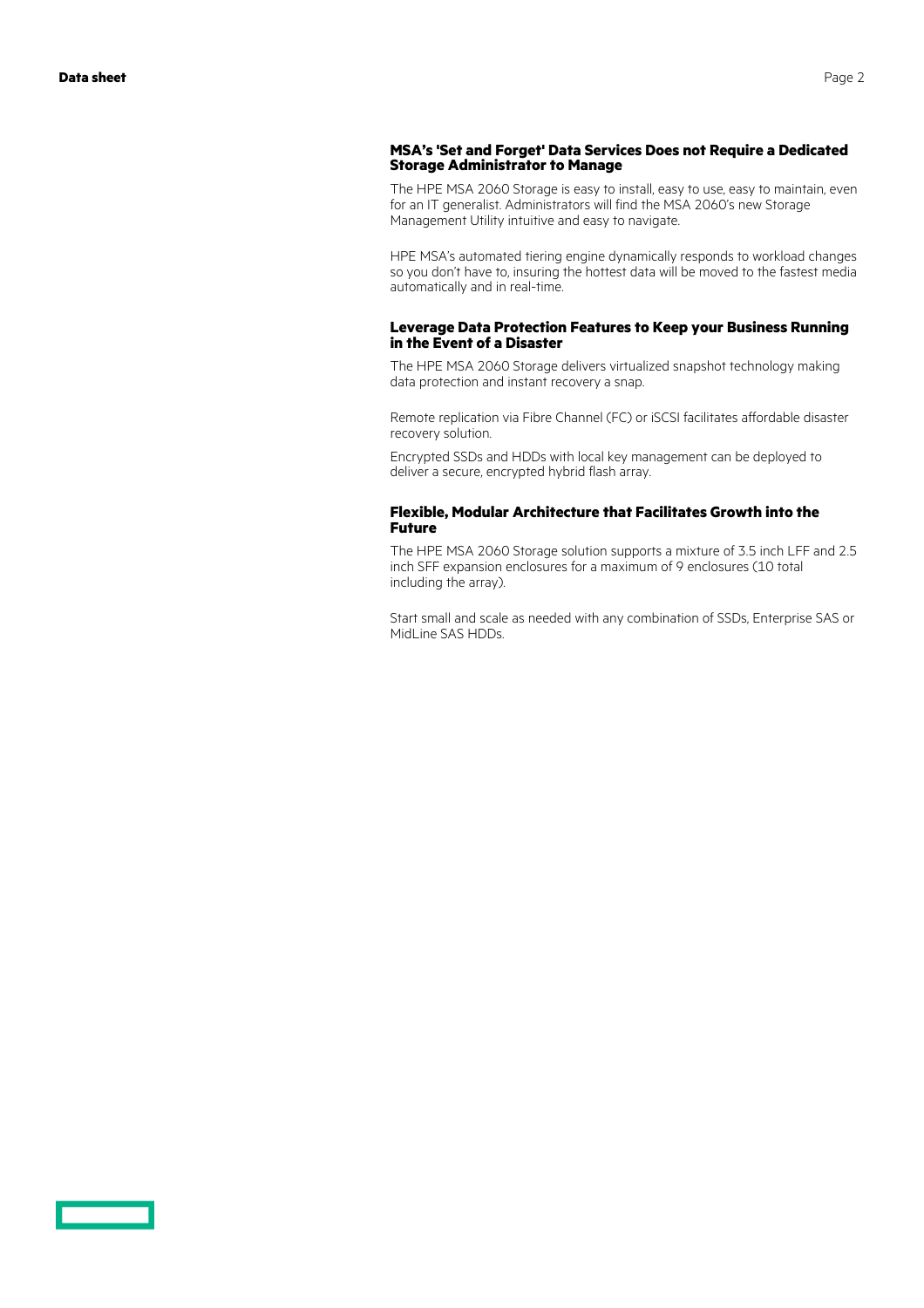### **MSA's 'Set and Forget' Data Services Does not Require a Dedicated Storage Administrator to Manage**

The HPE MSA 2060 Storage is easy to install, easy to use, easy to maintain, even for an IT generalist. Administrators will find the MSA 2060's new Storage Management Utility intuitive and easy to navigate.

HPE MSA's automated tiering engine dynamically responds to workload changes so you don't have to, insuring the hottest data will be moved to the fastest media automatically and in real-time.

#### **Leverage Data Protection Features to Keep your Business Running in the Event of a Disaster**

The HPE MSA 2060 Storage delivers virtualized snapshot technology making data protection and instant recovery a snap.

Remote replication via Fibre Channel (FC) or iSCSI facilitates affordable disaster recovery solution.

Encrypted SSDs and HDDs with local key management can be deployed to deliver a secure, encrypted hybrid flash array.

#### **Flexible, Modular Architecture that Facilitates Growth into the Future**

The HPE MSA 2060 Storage solution supports a mixture of 3.5 inch LFF and 2.5 inch SFF expansion enclosures for a maximum of 9 enclosures (10 total including the array).

Start small and scale as needed with any combination of SSDs, Enterprise SAS or MidLine SAS HDDs.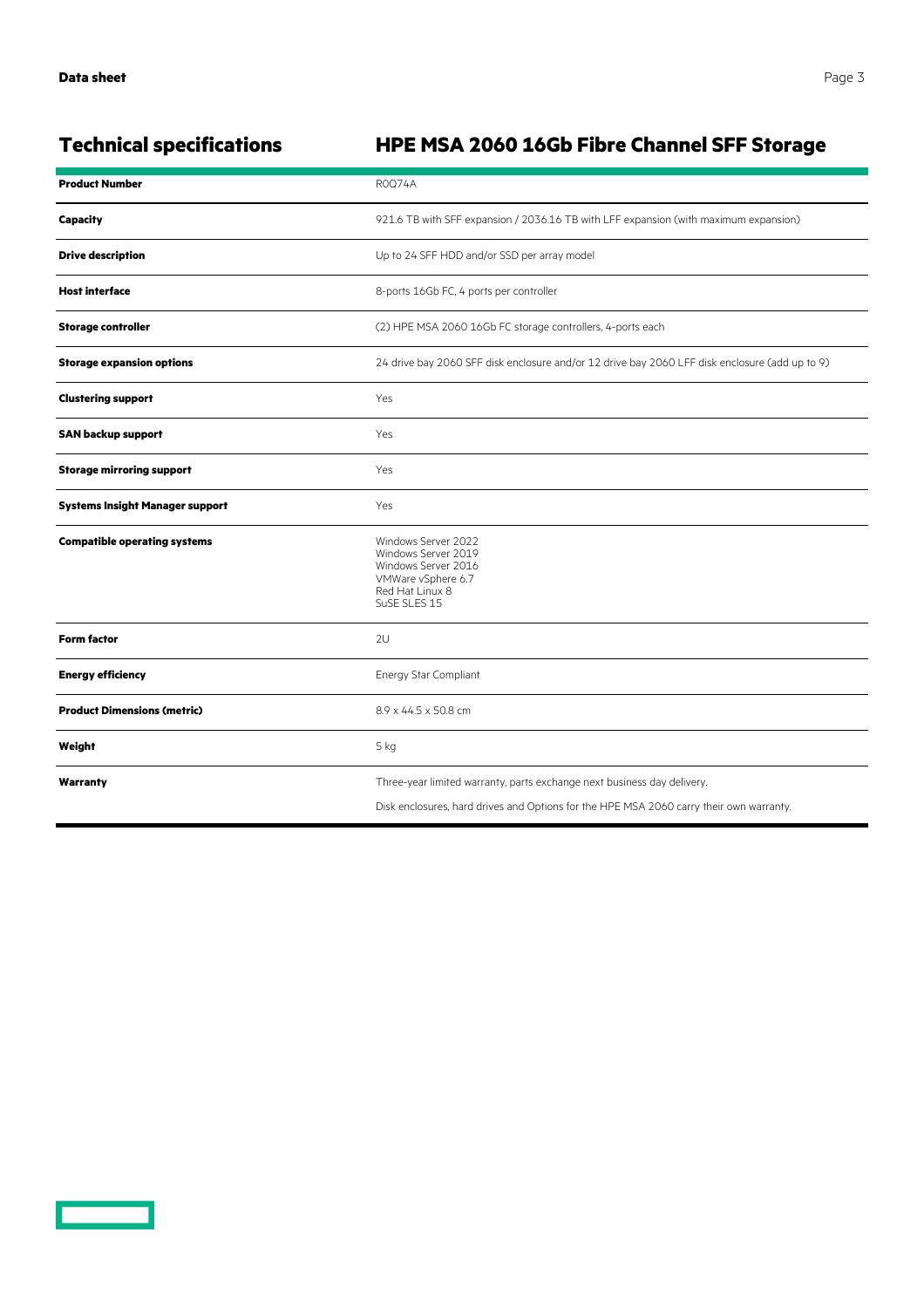### **Technical specifications HPE MSA 2060 16Gb Fibre Channel SFF Storage**

| <b>Product Number</b>                  | <b>ROQ74A</b>                                                                                                                                                      |
|----------------------------------------|--------------------------------------------------------------------------------------------------------------------------------------------------------------------|
| <b>Capacity</b>                        | 921.6 TB with SFF expansion / 2036.16 TB with LFF expansion (with maximum expansion)                                                                               |
| <b>Drive description</b>               | Up to 24 SFF HDD and/or SSD per array model                                                                                                                        |
| <b>Host interface</b>                  | 8-ports 16Gb FC, 4 ports per controller                                                                                                                            |
| <b>Storage controller</b>              | (2) HPE MSA 2060 16Gb FC storage controllers, 4-ports each                                                                                                         |
| <b>Storage expansion options</b>       | 24 drive bay 2060 SFF disk enclosure and/or 12 drive bay 2060 LFF disk enclosure (add up to 9)                                                                     |
| <b>Clustering support</b>              | Yes                                                                                                                                                                |
| <b>SAN backup support</b>              | Yes                                                                                                                                                                |
| <b>Storage mirroring support</b>       | Yes                                                                                                                                                                |
| <b>Systems Insight Manager support</b> | Yes                                                                                                                                                                |
| <b>Compatible operating systems</b>    | Windows Server 2022<br>Windows Server 2019<br>Windows Server 2016<br>VMWare vSphere 6.7<br>Red Hat Linux 8<br>SuSE SLES 15                                         |
| <b>Form factor</b>                     | 2U                                                                                                                                                                 |
| <b>Energy efficiency</b>               | Energy Star Compliant                                                                                                                                              |
| <b>Product Dimensions (metric)</b>     | 8.9 x 44.5 x 50.8 cm                                                                                                                                               |
| Weight                                 | 5 kg                                                                                                                                                               |
| Warranty                               | Three-year limited warranty, parts exchange next business day delivery.<br>Disk enclosures, hard drives and Options for the HPE MSA 2060 carry their own warranty. |